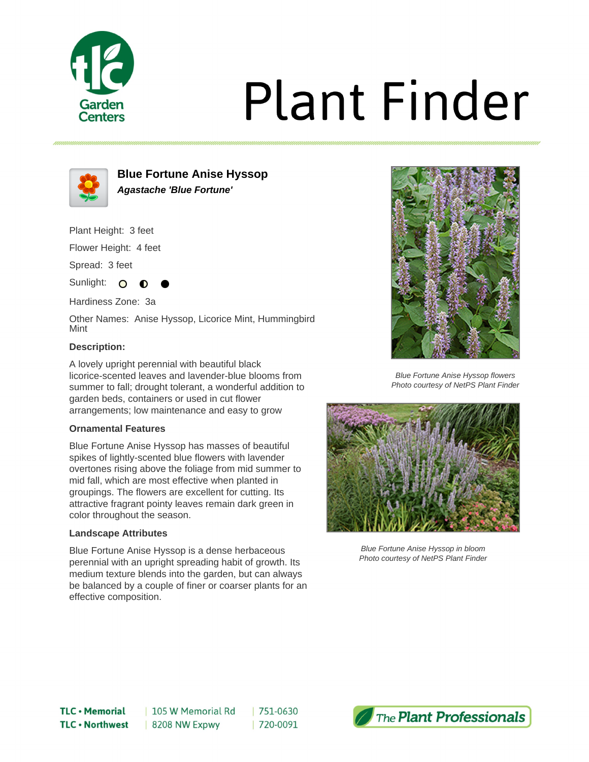

# **Plant Finder**



**Blue Fortune Anise Hyssop Agastache 'Blue Fortune'**

Plant Height: 3 feet

Flower Height: 4 feet

Spread: 3 feet

Sunlight: O

Hardiness Zone: 3a

Other Names: Anise Hyssop, Licorice Mint, Hummingbird Mint

## **Description:**

A lovely upright perennial with beautiful black licorice-scented leaves and lavender-blue blooms from summer to fall; drought tolerant, a wonderful addition to garden beds, containers or used in cut flower arrangements; low maintenance and easy to grow

### **Ornamental Features**

Blue Fortune Anise Hyssop has masses of beautiful spikes of lightly-scented blue flowers with lavender overtones rising above the foliage from mid summer to mid fall, which are most effective when planted in groupings. The flowers are excellent for cutting. Its attractive fragrant pointy leaves remain dark green in color throughout the season.

#### **Landscape Attributes**

Blue Fortune Anise Hyssop is a dense herbaceous perennial with an upright spreading habit of growth. Its medium texture blends into the garden, but can always be balanced by a couple of finer or coarser plants for an effective composition.



Blue Fortune Anise Hyssop flowers Photo courtesy of NetPS Plant Finder



Blue Fortune Anise Hyssop in bloom Photo courtesy of NetPS Plant Finder